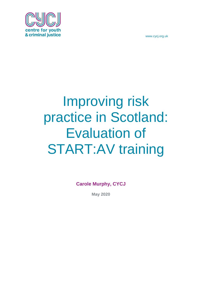centre for you & criminal justice

www.cycj.org.uk

# Improving risk practice in Scotland: Evaluation of START:AV training

**Carole Murphy, CYCJ**

**May 2020**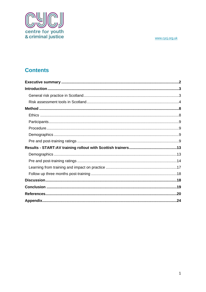

# **Contents**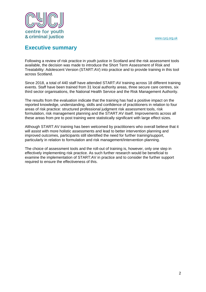

# <span id="page-2-0"></span>**Executive summary**

Following a review of risk practice in youth justice in Scotland and the risk assessment tools available, the decision was made to introduce the Short Term Assessment of Risk and Treatability: Adolescent Version (START:AV) into practice and to provide training in this tool across Scotland.

Since 2018, a total of 440 staff have attended START:AV training across 18 different training events. Staff have been trained from 31 local authority areas, three secure care centres, six third sector organisations, the National Health Service and the Risk Management Authority.

The results from the evaluation indicate that the training has had a positive impact on the reported knowledge, understanding, skills and confidence of practitioners in relation to four areas of risk practice: structured professional judgment risk assessment tools, risk formulation, risk management planning and the START:AV itself. Improvements across all these areas from pre to post training were statistically significant with large effect sizes.

Although START:AV training has been welcomed by practitioners who overall believe that it will assist with more holistic assessments and lead to better intervention planning and improved outcomes, participants still identified the need for further training/support, particularly in relation to formulation and risk management/intervention planning.

The choice of assessment tools and the roll-out of training is, however, only one step in effectively implementing risk practice. As such further research would be beneficial to examine the implementation of START:AV in practice and to consider the further support required to ensure the effectiveness of this.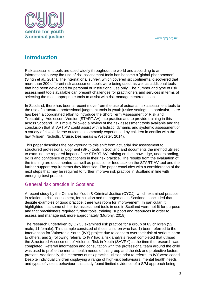

# <span id="page-3-0"></span>**Introduction**

Risk assessment tools are used widely throughout the world and according to an international survey the use of risk assessment tools has become a 'global phenomenon' (Singh et al., 2014). The international survey, which covered six continents, discovered that more than 200 different risk assessment tools were being used, as well as additional tools that had been developed for personal or institutional use only. The number and type of risk assessment tools available can present challenges for practitioners and services in terms of selecting the most appropriate tools to assist with risk management/reduction.

In Scotland, there has been a recent move from the use of actuarial risk assessment tools to the use of structured professional judgment tools in youth justice settings. In particular, there has been a coordinated effort to introduce the Short Term Assessment of Risk and Treatability: Adolescent Version (START:AV) into practice and to provide training in this across Scotland. This move followed a review of the risk assessment tools available and the conclusion that START:AV could assist with a holistic, dynamic and systemic assessment of a variety of risks/adverse outcomes commonly experienced by children in conflict with the law (Viljoen, Nicholls, Cruise, Desmarais & Webster, 2014).

This paper describes the background to this shift from actuarial risk assessment to structured professional judgment (SPJ) tools in Scotland and documents the method utilised to examine the reported impact of the START:AV training on the knowledge, understanding, skills and confidence of practitioners in their risk practice. The results from the evaluation of the training are documented, as well as practitioner feedback on the START:AV tool and the further support requirements they identified. The paper concludes with a consideration of the next steps that may be required to further improve risk practice in Scotland in line with emerging best practice.

## <span id="page-3-1"></span>General risk practice in Scotland

A recent study by the Centre for Youth & Criminal Justice (CYCJ), which examined practice in relation to risk assessment, formulation and management in Scotland, concluded that despite examples of good practice, there was room for improvement. In particular, it highlighted that some of the risk assessment tools in use in Scotland were not fit for purpose and that practitioners required further tools, training, support and resources in order to assess and manage risk more appropriately (Murphy, 2018).

The research undertaken by CYCJ examined risk practice for a group of 63 children (52 male, 11 female). This sample consisted of those children who had 1) been referred to the Intervention for Vulnerable Youth (IVY) project due to concern over their risk of serious harm to others, and 2) following referral to IVY had a risk analysis report completed that utilised the Structured Assessment of Violence Risk in Youth (SAVRY) at the time the research was completed. Referral information and consultation with the professional team around the child was used to profile the mental health needs of this group and the risk and protective factors present. Additionally, the elements of risk practice utilised prior to referral to IVY were coded. Despite individual children displaying a range of high-risk behaviours, mental health needs and types of violent behaviour, this study found limited evidence of a SPJ approach being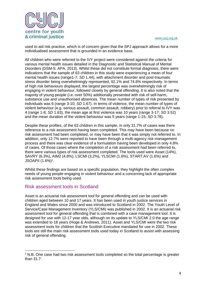

used to aid risk practice, which is of concern given that the SPJ approach allows for a more individualised assessment that is grounded in an evidence base.

All children who were referred to the IVY project were considered against the criteria for various mental health issues detailed in the Diagnostic and Statistical Manual of Mental Disorders (DSM-5: APA, 2013). Whilst these did not constitute formal diagnosis, there were indications that the sample of 63 children in this study were experiencing a mean of four mental health issues (range1-7; *SD* 1.44), with attachment disorder and post-traumatic stress disorder being overwhelmingly represented, 92.1% and 74.6% respectively. In terms of high risk behaviours displayed, the largest percentage was overwhelmingly risk of engaging in violent behaviour, followed closely by general offending. It is also noted that the majority of young people (i.e. over 50%) additionally presented with risk of self-harm, substance use and unauthorised absences. The mean number of types of risk presented by individuals was 6 (range 3-10; *SD* 1.67). In terms of violence, the mean number of types of violent behaviour (e.g. serious assault, common assault, robbery) prior to referral to IVY was 4 (range 1-8; *SD* 1.63), the mean age at first violence was 10 years (range 3-17; *SD* 3.52) and the mean duration of the violent behaviour was 5 years (range 1-15; *SD* 3.78).

Despite these profiles, of the 63 children in this sample, in only 31.7% of cases was there reference to a risk assessment having been completed. This may have been because no risk assessment had been completed, or may have been that it was simply not referred to. In addition, only 12.7% were reported to have been through a multi-agency risk management process and there was clear evidence of a formulation having been developed in only 4.8% of cases. Of those cases where the completion of a risk assessment had been referred to, there were various types of risk assessment completed. The tools used were Asset (14%), SAVRY (6.3%), AIM2 (4.8%), LSCMI (3.2%), YLSCMI (1.6%), START:AV (1.6%) and JSOAPII (1.6%)<sup>1</sup> .

Whilst these findings are based on a specific population, they highlight the often complex needs of young people engaging in violent behaviour and a concerning lack of appropriate risk assessment tools being used.

### <span id="page-4-0"></span>Risk assessment tools in Scotland

1

Asset is an actuarial risk assessment tool for general offending and can be used with children aged between 10 and 17 years. It has been used in youth justice services in England and Wales since 2000 and was introduced to Scotland in 2002. The Youth Level of Service/Case Management Inventory (YLS/CMI) was published in 2002. It is an actuarial risk assessment tool for general offending that is combined with a case management tool. It is designed for use with 12-17 year olds, although on its update to YLS/CMI 2.0 the age range was extended to 18 years (Hoge & Andrews, 2011). Asset and YLS/CMI were the two risk assessment tools for children that the Scottish Executive mandated for use in 2002. These tools are still the main risk assessment tools used today in Scotland to assist with assessing risk of general offending.

<sup>&</sup>lt;sup>1</sup> N.B. One case had two risk assessment tools completed so the total percentage is greater than 31.7.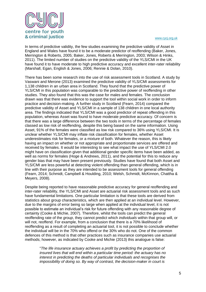

In terms of predictive validity, the few studies examining the predictive validity of Asset in England and Wales have found it to be a moderate predictor of reoffending (Baker, Jones, Merrington & Roberts, 2005; Baker, Jones, Roberts & Merrington, 2003; Wilson & Hinks, 2011). The limited number of studies on the predictive validity of the YLS/CMI in the UK have found it to have moderate to high predictive accuracy and excellent inter-rater reliability (Marshall, Egan, English & Jones, 2006; Rennie & Dolan, 2010).

There has been some research into the use of risk assessment tools in Scotland. A study by Vaswani and Merone (2013) examined the predictive validity of YLS/CMI assessments for 1,138 children in an urban area in Scotland. They found that the predictive power of YLS/CMI in this population was comparable to the predictive power of reoffending in other studies. They also found that this was the case for males and females. The conclusion drawn was that there was evidence to support the tool within social work in order to inform practice and decision-making. A further study in Scotland (Fearn, 2014) compared the predictive validity of Asset and YLS/CMI in a sample of 138 children in one local authority area. The findings indicated that YLS/CMI was a good predictor of repeat offending in this population, whereas Asset was found to have moderate predictive accuracy. Of concern is that there was a large difference between the two tools in terms of the percentage of females classed as low risk of reoffending, despite this being based on the same information. Using Asset, 91% of the females were classified as low risk compared to 36% using YLS/CMI. It is unclear whether YLS/CMI may inflate risk classification for females, whether Asset underestimates risk for females, or a mixture of both. Whatever the reason, this is likely having an impact on whether or not appropriate and proportionate services are offered and received by females. It would be interesting to see what impact the use of YLS/CMI 2.0 might have on classification given that additional gender specific items have been added, as well as norms for females (Hoge & Andrews, 2011), and the potential for this to reduce any gender bias that may have been present previously. Studies have found that both Asset and YLS/CMI are less powerful at detecting violent offending than general offending, which is in line with their purpose as they are intended to be assessment tools for general offending (Fearn, 2014; Schmidt, Campbell & Houlding, 2010; Welsh, Schmidt, McKinnon, Chattha & Meyers, 2008).

Despite being reported to have reasonable predictive accuracy for general reoffending and inter-rater reliability, the YLS/CMI and Asset are actuarial risk assessment tools and as such have fundamental limitations. One particular limitation is that these tools are derived from statistics about group characteristics, which are then applied at an individual level. However, due to the margins of error being so large when applied at the individual level, it is not possible to estimate an individual's risk for future offending with any reasonable degree of certainty (Cooke & Michie, 2007). Therefore, whilst the tools can predict the general reoffending rate of the *group*, they cannot predict which *individuals* within that group will, or will not, reoffend. For example, from a conclusion that there is a 70% likelihood of reoffending as a result of completing an actuarial tool, it is not possible to conclude whether the individual will be in the 70% who offend or the 30% who do not. One of the common defences of this method is that other practices such as insurance companies use actuarial methods; however, as indicated by Cooke and Michie (2013) this analogue is false:

"*The life insurance actuary achieves a profit by predicting the proportion of insured lives that will end within a particular time period: the actuary has no interest in predicting the deaths of particular individuals and recognises the impossibility of doing so. By way of contrast, the decision-maker in court is*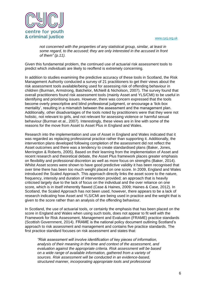

*not concerned with the properties of any statistical group, similar, at least in some regard, to the accused; they are only interested in the accused in front of them" (p.11).* 

Given this fundamental problem, the continued use of actuarial risk assessment tools to predict which *individuals* are likely to reoffend is extremely concerning.

In addition to studies examining the predictive accuracy of these tools in Scotland, the Risk Management Authority conducted a survey of 21 practitioners to get their views about the risk assessment tools available/being used for assessing risk of offending behaviour in children (Burman, Armstrong, Batchelor, McNeill & Nicholson, 2007). The survey found that overall practitioners found risk assessment tools (mainly Asset and YLS/CMI) to be useful in identifying and prioritising issues. However, there was concern expressed that the tools become overly prescriptive and blind professional judgment, or encourage a 'tick-box mentality', resulting in a mismatch between the assessment and the management plan. Additionally, other disadvantages of the tools noted by practitioners were that they were not holistic, not relevant to girls, and not relevant for assessing violence or harmful sexual behaviour (Burman et al., 2007). Interestingly, these views are in line with some of the reasons for the move from Asset to Asset Plus in England and Wales.

Research into the implementation and use of Asset in England and Wales indicated that it was regarded as replacing professional practice rather than supporting it. Additionally, the intervention plans developed following completion of the assessment did not reflect the Asset outcomes and there was a tendency to create standardised plans (Baker, Jones, Merrington & Roberts, 2005). Based on their learning from the implementation of Asset and recent research and theoretical debate, the Asset Plus framework places greater emphasis on flexibility and professional discretion as well as more focus on strengths (Baker, 2014). Whilst Asset scores were shown to have good predictive validity it has been recognised that over time there has been too much weight placed on one score. In 2009, England and Wales introduced the Scaled Approach. This approach directly links the asset score to the nature, frequency, intensity and duration of intervention provided; an approach that is heavily criticised largely due to the lack of focus on the individual and the over reliance on one score, which is in itself inherently flawed (Case & Haines, 2009; Haines & Case, 2012). In Scotland, the Scaled Approach has not been used, however, there appears to be a lack of research indicating how Asset and YLS/CMI are being used in practice and the weight that is given to the score rather than an analysis of the offending behaviour.

In Scotland, the use of actuarial tools, or certainly the emphasis that has been placed on the score in England and Wales when using such tools, does not appear to fit well with the Framework for Risk Assessment, Management and Evaluation (FRAME) practice standards (Scottish Government, 2014). FRAME is the national policy document outlining Scotland's approach to risk assessment and management and contains five practice standards. The first practice standard focuses on risk assessment and states that:

*"Risk assessment will involve identification of key pieces of information, analysis of their meaning in the time and context of the assessment, and evaluation against the appropriate criteria. Risk assessment will be based on a wide range of available information, gathered from a variety of sources. Risk assessment will be conducted in an evidence-based, structured manner, incorporating appropriate tools and professional*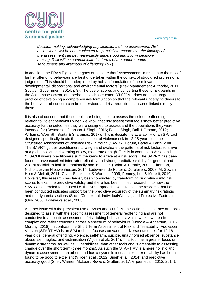

*decision-making, acknowledging any limitations of the assessment. Risk assessment will be communicated responsibly to ensure that the findings of the assessment can be meaningfully understood and inform decisionmaking. Risk will be communicated in terms of the pattern, nature, seriousness and likelihood of offending"* (p.7)

In addition, the FRAME guidance goes on to state that "Assessments in relation to the risk of further offending behaviour are best undertaken within the context of structured professional judgement. This should be underpinned by holistic formulation of the relevant developmental, dispositional and environmental factors" (Risk Management Authority, 2011; Scottish Government, 2014: p.8). The use of scores and converting these to risk bands in the Asset assessment, and perhaps to a lesser extent YLS/CMI, does not encourage the practice of developing a comprehensive formulation so that the relevant underlying drivers to the behaviour of concern can be understood and risk reduction measures linked directly to these.

It is also of concern that these tools are being used to assess the risk of reoffending in relation to violent behaviour when we know that risk assessment tools show better predictive accuracy for the outcomes they were designed to assess and the populations they were intended for (Desmarais, Johnson & Singh, 2016; Fazel, Singh, Doll & Gramm, 2012; Williams, Wormith, Bonta & Sitarenios, 2017). This is despite the availability of an SPJ tool designed specifically to aid the assessment of violence risk in 12-18 year olds, the Structured Assessment of Violence Risk in Youth (SAVRY; Borum, Bartel & Forth, 2006). The SAVRY guides practitioners to weigh and evaluate the patterns of risk factors to arrive at a global violence risk rating of low, moderate or high. This is in contrast to Asset and YLS/CMI where practitioners sum the items to arrive at a risk score. The SAVRY has been found to have excellent inter-rater reliability and strong predictive validity for general and violent recidivism both internationally and in the UK (Dolan & Rennie, 2008; Hilterman, Nicholls & van Nieuwenhuizen, 2014; Lodewijks, de Ruiter & Doreleijers, 2008; McGowan, Horn & Mellott, 2011; Olver, Stockdale, & Wormith, 2009; Penney, Lee & Moretti, 2010). However, this research has largely been conducted by transforming risk ratings into risk scores to examine predictive validity and there has been limited research into how the SAVRY is intended to be used i.e. the SPJ approach. Despite this, the research that has been conducted indicates support for the predictive accuracy of the summary risk ratings and the dynamic sections (Social/Contextual, Individual/Clinical, and Protective Factors) (Guy, 2008; Lodewijks et al., 2008).

Another issue with the prevalent use of Asset and YLS/CMI in Scotland is that they are tools designed to assist with the specific assessment of general reoffending and are not conducive to a holistic assessment of risk-taking behaviours, which we know are often complex and reflect concerns across a spectrum of behaviours (Moodie & Anderson, 2015; Murphy, 2018). In contrast, the Short-Term Assessment of Risk and Treatability: Adolescent Version (START:AV) is an SPJ tool that focuses on various adverse outcomes for 12-18 year olds: general offending, violence, self-harm, suicide, unauthorised absence, substance abuse, self-neglect and victimisation (Viljoen et al., 2014). This tool has a greater focus on dynamic strengths, as well as vulnerabilities, than other tools and is amenable to assessing change over the short term (three months). As such the START:AV is a more holistic and dynamic assessment than others and has a systemic focus. Inter-rater reliability has been found to be good to excellent (Viljoen et al., 2012; Singh et al., 2014) and predictive accuracy good (Sher, Warner, McLean, Rowe & Gralton, 2017; Viljoen et al., 2012; 2014).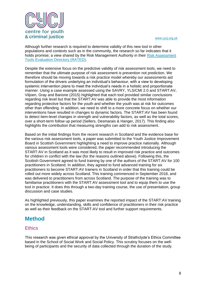

Although further research is required to determine validity of this new tool in other populations and contexts such as in the community, the research so far indicates that it holds promise; a view shared by the Risk Management Authority in their [Risk Assessment](https://www.rma.scot/research/rated/)  [Tools Evaluation Directory \(RATED\).](https://www.rma.scot/research/rated/)

Despite the extensive focus on the predictive validity of risk assessment tools, we need to remember that the ultimate purpose of risk assessment is prevention not prediction. We therefore should be moving towards a risk practice model whereby our assessments aid formulation of the drivers underlying an individual's behaviour, with a view to developing systemic intervention plans to meet the individual's needs in a holistic and proportionate manner. Using a case example assessed using the SAVRY, YLS/CMI 2.0 and START:AV, Viljoen, Gray and Barione (2015) highlighted that each tool provided similar conclusions regarding risk level but that the START:AV was able to provide the most information regarding protective factors for the youth and whether the youth was at risk for outcomes other than offending. In addition, we need to shift to a more concrete focus on whether our interventions have resulted in changes to dynamic factors. The START:AV has been found to detect item-level changes in strength and vulnerability factors, as well as the total scores, over a short-term follow up period (Sellers, Desmarais & Hanger, 2017). This finding also highlights the contribution that measuring strengths can add to risk assessment.

Based on the initial findings from the recent research in Scotland and the evidence base for the various risk assessment tools, a paper was submitted to the Youth Justice Improvement Board in Scottish Government highlighting a need to improve practice nationally. Although various assessment tools were considered, the paper recommended introducing the START:AV in Scotland as it was most likely to result in improved risk practice and outcomes for children in conflict with the law (for the reasons outlined above). Following this, the Scottish Government agreed to fund training by one of the authors of the START:AV for 100 practitioners in Scotland. In addition, they agreed to fund advanced training for six practitioners to become START:AV trainers in Scotland in order that this training could be rolled out more widely across Scotland. This training commenced in September 2018, and was delivered to practitioners from across Scotland. The purpose of the training was to familiarise practitioners with the START:AV assessment tool and to equip them to use the tool in practice. It does this through a two-day training course, the use of presentation, group discussion and case studies.

As highlighted previously, this paper examines the reported impact of the START:AV training on the knowledge, understanding, skills and confidence of practitioners in their risk practice as well as their feedback on the START:AV tool and further support requirements.

## <span id="page-8-0"></span>**Method**

## <span id="page-8-1"></span>**Ethics**

This research was given ethical approval by the University of Strathclyde's Ethics Committee based in the School of Social Work and Social Policy. This scrutiny focuses on the wellbeing of participants and the security of data collected through the duration of the study.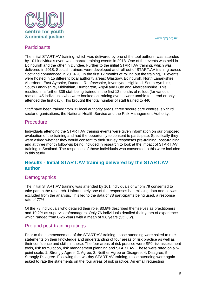

## <span id="page-9-0"></span>**Participants**

The initial START:AV training, which was delivered by one of the tool authors, was attended by 101 individuals over two separate training events in 2018. One of the events was held in Edinburgh and the other in Dundee. Further to the initial START:AV training**,** which was delivered in 2018, Scottish trainers were developed and roll-out of START:AV training across Scotland commenced in 2019-20. In the first 12 months of rolling out the training, 16 events were hosted in 15 different local authority areas: Glasgow, Edinburgh, North Lanarkshire, Aberdeen, East Ayrshire, Dundee, Renfrewshire, Inverclyde, Highland, South Ayrshire, South Lanarkshire, Midlothian, Dumbarton, Argyll and Bute and Aberdeenshire. This resulted in a further 339 staff being trained in the first 12 months of rollout (for various reasons 45 individuals who were booked on training events were unable to attend or only attended the first day). This brought the total number of staff trained to 440.

Staff have been trained from 31 local authority areas, three secure care centres, six third sector organisations, the National Health Service and the Risk Management Authority.

## <span id="page-9-1"></span>Procedure

Individuals attending the START:AV training events were given information on our proposed evaluation of the training and had the opportunity to consent to participate. Specifically they were asked whether they would consent to their survey responses pre-training, post-training and at three month follow-up being included in research to look at the impact of START:AV training in Scotland. The responses of those individuals who consented to this were included in this study.

## **Results - Initial START:AV training delivered by the START:AV author**

## <span id="page-9-2"></span>**Demographics**

The initial START:AV training was attended by 101 individuals of whom 79 consented to take part in the research. Unfortunately one of the responses had missing data and so was excluded from the analysis. This led to the data of 78 participants being used, a response rate of 77%.

Of the 78 individuals who detailed their role, 80.8% described themselves as practitioners and 19.2% as supervisors/managers. Only 76 individuals detailed their years of experience which ranged from 0-26 years with a mean of 9.6 years (*SD 6.2*).

## <span id="page-9-3"></span>Pre and post-training ratings

Prior to the commencement of the START:AV training, those attending were asked to rate statements on their knowledge and understanding of four areas of risk practice as well as their confidence and skills in these. The four areas of risk practice were SPJ risk assessment tools, risk formulation, risk management planning and START:AV. These were rated on a 5 point scale: 1. Strongly Agree, 2. Agree, 3. Neither Agree or Disagree, 4. Disagree, 5. Strongly Disagree. Following the two-day START:AV training, those attending were again asked to rate the statements on the four areas of risk practice. An email requesting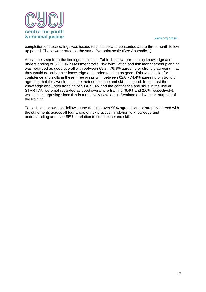

completion of these ratings was issued to all those who consented at the three month followup period. These were rated on the same five-point scale (See Appendix 1).

As can be seen from the findings detailed in Table 1 below, pre-training knowledge and understanding of SPJ risk assessment tools, risk formulation and risk management planning was regarded as good overall with between 69.2 - 76.9% agreeing or strongly agreeing that they would describe their knowledge and understanding as good. This was similar for confidence and skills in these three areas with between 62.8 - 74.4% agreeing or strongly agreeing that they would describe their confidence and skills as good. In contrast the knowledge and understanding of START:AV and the confidence and skills in the use of START:AV were not regarded as good overall pre-training (6.4% and 2.6% respectively), which is unsurprising since this is a relatively new tool in Scotland and was the purpose of the training.

Table 1 also shows that following the training, over 90% agreed with or strongly agreed with the statements across all four areas of risk practice in relation to knowledge and understanding and over 85% in relation to confidence and skills.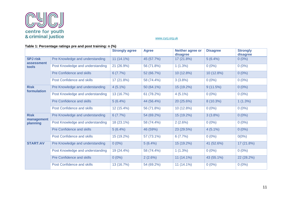

#### **Table 1: Percentage ratings pre and post training: n (%)**

|                                        |                                  | <b>Strongly agree</b> | <b>Agree</b> | Neither agree or<br>disagree | <b>Disagree</b> | <b>Strongly</b><br>disagree |
|----------------------------------------|----------------------------------|-----------------------|--------------|------------------------------|-----------------|-----------------------------|
| <b>SPJ</b> risk<br>assessment<br>tools | Pre Knowledge and understanding  | $11(14.1\%)$          | 45 (57.7%)   | 17 (21.8%)                   | $5(6.4\%)$      | $0(0\%)$                    |
|                                        | Post Knowledge and understanding | 21 (26.9%)            | 56 (71.8%)   | $1(1.3\%)$                   | $0(0\%)$        | $0(0\%)$                    |
|                                        | Pre Confidence and skills        | 6(7.7%)               | 52 (66.7%)   | 10 (12.8%)                   | 10 (12.8%)      | $0(0\%)$                    |
|                                        | Post Confidence and skills       | 17(21.8%)             | 58 (74.4%)   | 3(3.8%)                      | $0(0\%)$        | $0(0\%)$                    |
| <b>Risk</b><br>formulation             | Pre Knowledge and understanding  | $4(5.1\%)$            | 50 (64.1%)   | 15 (19.2%)                   | 9(11.5%)        | $0(0\%)$                    |
|                                        | Post Knowledge and understanding | 13 (16.7%)            | 61 (78.2%)   | $4(5.1\%)$                   | $0(0\%)$        | $0(0\%)$                    |
|                                        | Pre Confidence and skills        | 5(6.4%)               | 44 (56.4%)   | 20 (25.6%)                   | 8 (10.3%)       | $1(1.3\%)$                  |
|                                        | Post Confidence and skills       | 12 (15.4%)            | 56 (71.8%)   | $10(12.8\%)$                 | $0(0\%)$        | $0(0\%)$                    |
| <b>Risk</b><br>management<br>planning  | Pre Knowledge and understanding  | 6(7.7%)               | 54 (69.2%)   | 15 (19.2%)                   | 3(3.8%)         | $0(0\%)$                    |
|                                        | Post Knowledge and understanding | 18 (23.1%)            | 58 (74.4%)   | $2(2.6\%)$                   | $0(0\%)$        | $0(0\%)$                    |
|                                        | Pre Confidence and skills        | 5(6.4%)               | 46 (59%)     | 23 (29.5%)                   | $4(5.1\%)$      | $0(0\%)$                    |
|                                        | Post Confidence and skills       | 15 (19.2%)            | 57 (73.1%)   | 6(7.7%)                      | $0(0\%)$        | $0(0\%)$                    |
| <b>START:AV</b>                        | Pre Knowledge and understanding  | $0(0\%)$              | 5(6.4%)      | 15 (19.2%)                   | 41 (52.6%)      | 17 (21.8%)                  |
|                                        | Post Knowledge and understanding | 19 (24.4%)            | 58 (74.4%)   | 1(1.3%)                      | $0(0\%)$        | $0(0\%)$                    |
|                                        | <b>Pre Confidence and skills</b> | $0(0\%)$              | $2(2.6\%)$   | $11(14.1\%)$                 | 43 (55.1%)      | 22 (28.2%)                  |
|                                        | Post Confidence and skills       | 13 (16.7%)            | 54 (69.2%)   | $11(14.1\%)$                 | $0(0\%)$        | $0(0\%)$                    |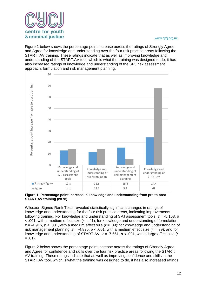

Figure 1 below shows the percentage point increase across the ratings of Strongly Agree and Agree for knowledge and understanding over the four risk practice areas following the START: AV training. These ratings indicate that as well as improving knowledge and understanding of the START:AV tool, which is what the training was designed to do, it has also increased ratings of knowledge and understanding of the SPJ risk assessment approach, formulation and risk management planning.



#### **Figure 1: Percentage point increase in knowledge and understanding from pre to post START:AV training (n=78)**

Wilcoxon Signed Rank Tests revealed statistically significant changes in ratings of knowledge and understanding for the four risk practice areas, indicating improvements following training. For knowledge and understanding of SPJ assessment tools, *z* = -5.108, *p* < .001, with a medium effect size (*r* = .41); for knowledge and understanding of formulation, *z* = -4.916, *p* < .001, with a medium effect size (*r* = .39); for knowledge and understanding of risk management planning,  $z = -4.825$ ,  $p < .001$ , with a medium effect size ( $r = .39$ ); and for knowledge and understanding of START:AV, *z* = -7.661, *p* < .001, with a large effect size (*r*   $= .61$ ).

Figure 2 below shows the percentage point increase across the ratings of Strongly Agree and Agree for confidence and skills over the four risk practice areas following the START: AV training. These ratings indicate that as well as improving confidence and skills in the START:AV tool, which is what the training was designed to do, it has also increased ratings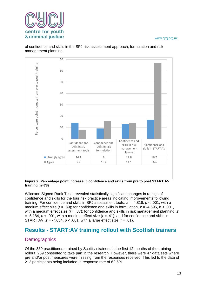

70 Percentage point increase from pre to post training Percentage point increase from pre to post training60 50 40  $30$ 20

of confidence and skills in the SPJ risk assessment approach, formulation and risk management planning.



Confidence and skills in SPJ assessment tools

0

10

Wilcoxon Signed Rank Tests revealed statistically significant changes in ratings of confidence and skills for the four risk practice areas indicating improvements following training. For confidence and skills in SPJ assessment tools, *z* = -4.818, *p* < .001, with a medium effect size (*r* = .39); for confidence and skills in formulation, *z* = -4.595, *p* < .001, with a medium effect size (*r* = .37); for confidence and skills in risk management planning, *z*  $=$  -5.184,  $p < .001$ , with a medium effect size ( $r = .41$ ); and for confidence and skills in START:AV, *z* = -7.634, *p* < .001, with a large effect size (*r* = .61).

Confidence and skills in risk formulation

Strongly agree  $14.1$  9 12.8 16.7 Agree 17.7 15.4 14.1 66.6

Confidence and skills in risk management planning

Confidence and skills in START:AV

# <span id="page-13-0"></span>**Results - START:AV training rollout with Scottish trainers**

## <span id="page-13-1"></span>**Demographics**

Of the 339 practitioners trained by Scottish trainers in the first 12 months of the training rollout, 259 consented to take part in the research. However, there were 47 data sets where pre and/or post measures were missing from the responses received. This led to the data of 212 participants being included, a response rate of 62.5%.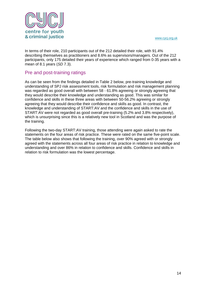

In terms of their role, 210 participants out of the 212 detailed their role, with 91.4% describing themselves as practitioners and 8.6% as supervisors/managers. Out of the 212 participants, only 175 detailed their years of experience which ranged from 0-35 years with a mean of 8.1 years (*SD* 7.3).

## <span id="page-14-0"></span>Pre and post-training ratings

As can be seen from the findings detailed in Table 2 below, pre-training knowledge and understanding of SPJ risk assessment tools, risk formulation and risk management planning was regarded as good overall with between 58 - 61.8% agreeing or strongly agreeing that they would describe their knowledge and understanding as good. This was similar for confidence and skills in these three areas with between 50-56.2% agreeing or strongly agreeing that they would describe their confidence and skills as good. In contrast, the knowledge and understanding of START:AV and the confidence and skills in the use of START:AV were not regarded as good overall pre-training (5.2% and 3.8% respectively), which is unsurprising since this is a relatively new tool in Scotland and was the purpose of the training.

Following the two-day START:AV training, those attending were again asked to rate the statements on the four areas of risk practice. These were rated on the same five-point scale. The table below also shows that following the training, over 90% agreed with or strongly agreed with the statements across all four areas of risk practice in relation to knowledge and understanding and over 86% in relation to confidence and skills. Confidence and skills in relation to risk formulation was the lowest percentage.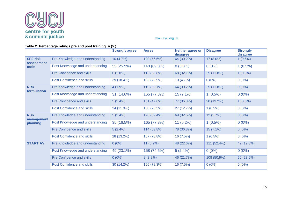

## **Table 2: Percentage ratings pre and post training: n (%)**

|                                        |                                  | <b>Strongly agree</b> | <b>Agree</b> | Neither agree or<br>disagree | <b>Disagree</b> | <b>Strongly</b><br>disagree |
|----------------------------------------|----------------------------------|-----------------------|--------------|------------------------------|-----------------|-----------------------------|
| <b>SPJ risk</b><br>assessment<br>tools | Pre Knowledge and understanding  | 10(4.7%)              | 120 (56.6%)  | 64 (30.2%)                   | 17 (8.0%)       | $1(0.5\%)$                  |
|                                        | Post Knowledge and understanding | 55 (25.9%)            | 148 (69.8%)  | $8(3.8\%)$                   | $0(0\%)$        | $1(0.5\%)$                  |
|                                        | Pre Confidence and skills        | 6(2.8%)               | 112 (52.8%)  | 68 (32.1%)                   | 25 (11.8%)      | $1(0.5\%)$                  |
|                                        | Post Confidence and skills       | 39 (18.4%)            | 163 (76.9%)  | 10(4.7%)                     | $0(0\%)$        | $0(0\%)$                    |
| <b>Risk</b><br>formulation             | Pre Knowledge and understanding  | $4(1.9\%)$            | 119 (56.1%)  | 64 (30.2%)                   | 25 (11.8%)      | $0(0\%)$                    |
|                                        | Post Knowledge and understanding | 31(14.6%)             | 165 (77.8%)  | $15(7.1\%)$                  | $1(0.5\%)$      | $0(0\%)$                    |
|                                        | Pre Confidence and skills        | 5(2.4%)               | 101 (47.6%)  | 77 (36.3%)                   | 28 (13.2%)      | $1(0.5\%)$                  |
|                                        | Post Confidence and skills       | 24 (11.3%)            | 160 (75.5%)  | 27 (12.7%)                   | $1(0.5\%)$      | $0(0\%)$                    |
| <b>Risk</b><br>management<br>planning  | Pre Knowledge and understanding  | 5(2.4%)               | 126 (59.4%)  | 69 (32.5%)                   | 12 (5.7%)       | $0(0\%)$                    |
|                                        | Post Knowledge and understanding | 35 (16.5%)            | 165 (77.8%)  | $11(5.2\%)$                  | $1(0.5\%)$      | $0(0\%)$                    |
|                                        | Pre Confidence and skills        | 5(2.4%)               | 114 (53.8%)  | 78 (36.8%)                   | $15(7.1\%)$     | $0(0\%)$                    |
|                                        | Post Confidence and skills       | 28 (13.2%)            | 167 (78.8%)  | 16 (7.5%)                    | $1(0.5\%)$      | $0(0\%)$                    |
| <b>START:AV</b>                        | Pre Knowledge and understanding  | $0(0\%)$              | $11(5.2\%)$  | 48 (22.6%)                   | 111 (52.4%)     | 42 (19.8%)                  |
|                                        | Post Knowledge and understanding | 49 (23.1%)            | 158 (74.5%)  | $5(2.4\%)$                   | $0(0\%)$        | $0(0\%)$                    |
|                                        | Pre Confidence and skills        | $0(0\%)$              | $8(3.8\%)$   | 46 (21.7%)                   | 108 (50.9%)     | 50 (23.6%)                  |
|                                        | Post Confidence and skills       | 30(14.2%)             | 166 (78.3%)  | 16(7.5%)                     | $0(0\%)$        | $0(0\%)$                    |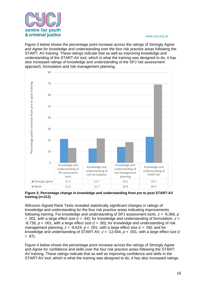

Figure 3 below shows the percentage point increase across the ratings of Strongly Agree and Agree for knowledge and understanding over the four risk practice areas following the START: AV training. These ratings indicate that as well as improving knowledge and understanding of the START:AV tool, which is what the training was designed to do, it has also increased ratings of knowledge and understanding of the SPJ risk assessment approach, formulation and risk management planning.



#### **Figure 3: Percentage change in knowledge and understanding from pre to post START:AV training (n=212)**

Wilcoxon Signed Rank Tests revealed statistically significant changes in ratings of knowledge and understanding for the four risk practice areas indicating improvements following training. For knowledge and understanding of SPJ assessment tools, *z* = -9.368, *p* < .001, with a large effect size (*r* = .64); for knowledge and understanding of formulation, *z* = -8.739, *p* < .001, with a large effect size (*r* = .60); for knowledge and understanding of risk management planning,  $z = -8.624$ ,  $p < .001$ , with a large effect size  $(r = .59)$ ; and for knowledge and understanding of START:AV, *z* = -12.644, *p* < .001, with a large effect size (*r*   $= .87$ ).

Figure 4 below shows the percentage point increase across the ratings of Strongly Agree and Agree for confidence and skills over the four risk practice areas following the START: AV training. These ratings indicate that as well as improving confidence and skills in the START:AV tool, which is what the training was designed to do, it has also increased ratings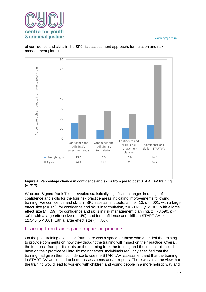

 $80$ Percentage point increase from pre to post training Percentage point increase from pre to post training70 60  $50$  $40$ 30 20 10 0 Confidence and Confidence and Confidence and skills in risk Confidence and skills in SPJ skills in risk management skills in START:AV formulation assessment tools planning **Strongly agree** 15.6 8.9 10.8 14.2 Agree 24.1 27.9 25 74.5

of confidence and skills in the SPJ risk assessment approach, formulation and risk management planning.

#### **Figure 4: Percentage change in confidence and skills from pre to post START:AV training (n=212)**

Wilcoxon Signed Rank Tests revealed statistically significant changes in ratings of confidence and skills for the four risk practice areas indicating improvements following training. For confidence and skills in SPJ assessment tools, *z* = -9.413, *p* < .001, with a large effect size (*r* = .65); for confidence and skills in formulation, *z* = -8.612, *p* < .001, with a large effect size (*r* = .59); for confidence and skills in risk management planning, *z* = -8.590, *p* < .001, with a large effect size (*r* = .59); and for confidence and skills in START:AV, *z* = - 12.545, *p* < .001, with a large effect size (*r* = .86).

## <span id="page-17-0"></span>Learning from training and impact on practice

On the post-training evaluation form there was a space for those who attended the training to provide comments on how they thought the training will impact on their practice. Overall, the feedback from participants on the learning from the training and the impact this could have on their practice fell into six main themes. Individuals regularly specified that the training had given them confidence to use the START:AV assessment and that the training in START:AV would lead to better assessments and/or reports. There was also the view that the training would lead to working with children and young people in a more holistic way and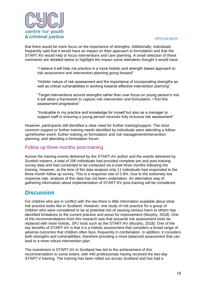

that there would be more focus on the importance of strengths. Additionally, individuals frequently said that it would have an impact on their approach to formulation and that the START:AV would help to focus interventions and care planning. A small selection of these comments are detailed below to highlight the impact some attendees thought it would have:

"I believe it will help me practice in a more holistic and strength based approach to risk assessment and intervention planning going forward"

"Holistic nature of risk assessment and the importance of incorporating strengths as well as critical vulnerabilities in working towards effective intervention planning"

"Target interventions around strengths rather than over focus on young person's risk. It will allow a framework to capture risk intervention and formulation. I find this assessment progressive"

"Invaluable to my practice and knowledge for myself but also as a manager to support staff in ensuring a young person receives fully inclusive risk assessment"

However, participants still identified a clear need for further training/support. The most common support or further training needs identified by individuals were attending a followup/refresher event; further training on formulation and risk management/intervention planning; and attending a formulation forum.

## <span id="page-18-0"></span>Follow up three months post-training

Across the training events delivered by the START:AV author and the events delivered by Scottish trainers, a total of 290 individuals had provided complete pre and post-training survey data and had consented to be contacted via e-mail three months following the training. However, at the time of the data analysis only 11 individuals had responded to the three-month follow up survey. This is a response rate of 3.8%. Due to the extremely low response rate, analysis of this data has not been undertaken. An alternative way of gathering information about implementation of START:AV post-training will be considered.

# <span id="page-18-1"></span>**Discussion**

For children who are in conflict with the law there is little information available about what risk practice looks like in Scotland. However, one study of risk practice for a group of children who were considered to be at potential risk of causing serious harm to others has identified limitations to the current practice and areas for improvement (Murphy, 2018). One of the recommendations from this research was that actuarial risk assessment tools be replaced with more holistic, SPJ tools such as the START:AV (Murphy, 2018). One of the key benefits of START:AV is that it is a holistic assessment that considers a broad range of adverse outcomes that children often face, frequently in combination. In addition, it considers both strengths and vulnerabilities, therefore providing a more balanced assessment that can lead to a more robust intervention plan.

The investment in START:AV in Scotland has led to the achievement of this recommendation to some extent, with 440 professionals having received the two-day START:V training. The training has been rolled out across Scotland and has had a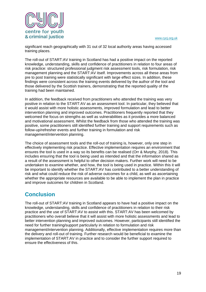

significant reach geographically with 31 out of 32 local authority areas having accessed training places.

The roll-out of START:AV training in Scotland has had a positive impact on the reported knowledge, understanding, skills and confidence of practitioners in relation to four areas of risk practice: structured professional judgment risk assessment tools, risk formulation, risk management planning and the START:AV itself. Improvements across all these areas from pre to post training were statistically significant with large effect sizes. In addition, these findings were consistent across the training events delivered by the author of the tool and those delivered by the Scottish trainers, demonstrating that the reported quality of the training had been maintained.

In addition, the feedback received from practitioners who attended the training was very positive in relation to the START:AV as an assessment tool. In particular, they believed that it would assist with more holistic assessments, improved formulation and lead to better intervention planning and improved outcomes. Practitioners frequently reported that they welcomed the focus on strengths as well as vulnerabilities as it provides a more balanced and motivational assessment. Whilst the feedback from those who attended the training was positive, some practitioners still identified further training and support requirements such as follow-up/refresher events and further training in formulation and risk management/intervention planning.

The choice of assessment tools and the roll-out of training is, however, only one step in effectively implementing risk practice. Effective implementation requires an environment that ensures the tool is used in a way so its benefits can be realised (Orr & Murphy, 2018). This includes ensuring that the tool is being used as intended and that the information shared as a result of the assessment is helpful to other decision makers. Further work will need to be undertaken to examine whether, and how, the tool is being used in practice. Within this it will be important to identify whether the START:AV has contributed to a better understanding of risk and what could reduce the risk of adverse outcomes for a child, as well as ascertaining whether the appropriate resources are available to be able to implement the plan in practice and improve outcomes for children in Scotland.

# <span id="page-19-0"></span>**Conclusion**

The roll-out of START:AV training in Scotland appears to have had a positive impact on the knowledge, understanding, skills and confidence of practitioners in relation to their risk practice and the use of START:AV to assist with this. START:AV has been welcomed by practitioners who overall believe that it will assist with more holistic assessments and lead to better intervention planning and improved outcomes. However, participants still identified the need for further training/support particularly in relation to formulation and risk management/intervention planning. Additionally, effective implementation requires more than the delivery and roll-out of training. Further research would be beneficial to examine the implementation of START:AV in practice and to consider the further support required to ensure the effectiveness of this.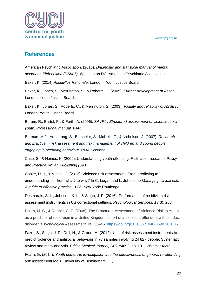

## <span id="page-20-0"></span>**References**

American Psychiatric Association. (2013). *Diagnostic and statistical manual of mental disorders: Fifth edition (DSM-5)*. Washington DC: American Psychiatric Association.

Baker, K. (2014) *AssetPlus Rationale*. London: Youth Justice Board

Baker, K., Jones, S., Merrington, S., & Roberts, C. (2005). *Further development of Asset*. London: Youth Justice Board.

Baker, K., Jones, S., Roberts, C., & Merrington, S. (2003). *Validity and reliability of ASSET*. London: Youth Justice Board.

Borum, R., Bartel, P., & Forth, A. (2006). S*AVRY: Structured assessment of violence risk in youth: Professional manual.* PAR.

Burman, M.J., Armstrong, S., Batchelor, S., McNeill, F., & Nicholson, J. (2007). *Research and practice in risk assessment and risk management of children and young people engaging in offending behaviour*. RMA Scotland.

Case, S., & Haines, K. (2009). Understanding youth offending: Risk factor research. P*olicy and Practice. Willan Publishing (UK)*.

Cooke, D. J., & Michie, C. (2013). Violence risk assessment: From predicting to understanding - or from what? to why? In C. Logan and L. Johnstone *Managing clinical risk: A guide to effective practice, 3-26.* New York: Routledge.

Desmarais, S. L., Johnson, K. L., & Singh, J. P. (2016). Performance of recidivism risk assessment instruments in US correctional settings. *Psychological Services, 13*(3), 206.

Dolan, M. C., & Rennie, C. E. (2008). The Structured Assessment of Violence Risk in Youth as a predictor of recidivism in a United Kingdom cohort of adolescent offenders with conduct disorder. *Psychological Assessment, 20*, 35–46. [https://doi.org/10.1037/1040-3590.20.1.35](https://psycnet.apa.org/doi/10.1037/1040-3590.20.1.35)

Fazel, S., Singh, J. P., Doll, H., & Grann, M. (2012). Use of risk assessment instruments to predict violence and antisocial behaviour in 73 samples involving 24 827 people: Systematic review and meta-analysis. *British Medical Journal, 345*, e4692. doi:10.1136/bmj.e4692

Fearn, G. (2014). *Youth crime: An investigation into the effectiveness of general re-offending risk assessment tools*. University of Birmingham UK,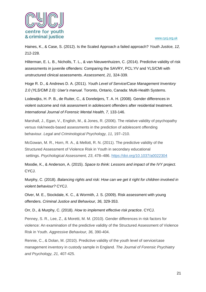

Haines, K., & Case, S. (2012). Is the Scaled Approach a failed approach? *Youth Justice, 12,*  212-228.

Hilterman, E. L. B., Nicholls, T. L., & van Nieuwenhuizen, C. (2014). Predictive validity of risk assessments in juvenile offenders: Comparing the SAVRY, PCL:YV and YLS/CMI with unstructured clinical assessments. *Assessment, 21,* 324-339.

Hoge R. D., & Andrews D. A. (2011). *Youth Level of Service/Case Management Inventory 2.0 (YLS/CMI 2.0): User's manual*. Toronto, Ontario, Canada: Multi-Health Systems.

Lodewijks, H. P. B., de Ruiter, C., & Doreleijers, T. A. H. (2008). Gender differences in violent outcome and risk assessment in adolescent offenders after residential treatment. *International Journal of Forensic Mental Health, 7,* 133-146.

Marshall, J., Egan, V., English, M., & Jones, R. (2006). The relative validity of psychopathy versus risk/needs-based assessments in the prediction of adolescent offending behaviour. *Legal and Criminological Psychology, 11,* 197–210.

McGowan, M. R., Horn, R. A., & Mellott, R. N. (2011). The predictive validity of the Structured Assessment of Violence Risk in Youth in secondary educational settings. *Psychological Assessment, 23*, 478–486. [https://doi.org/10.1037/a0022304](https://psycnet.apa.org/doi/10.1037/a0022304)

Moodie, K., & Anderson, A. (2015). *Space to think: Lessons and impact of the IVY project.*  CYCJ.

Murphy, C. (2018). *Balancing rights and risk: How can we get it right for children involved in violent behaviour?* CYCJ.

Olver, M. E., Stockdale, K. C., & Wormith, J. S. (2009). Risk assessment with young offenders. *Criminal Justice and Behaviour, 36,* 329-353.

Orr, D., & Murphy, C. (2018). *How to implement effective risk practice*. CYCJ.

Penney, S. R., Lee, Z., & Moretti, M. M. (2010). Gender differences in risk factors for violence: An examination of the predictive validity of the Structured Assessment of Violence Risk in Youth. *Aggressive Behaviour, 36,* 390-404.

Rennie, C., & Dolan, M. (2010). Predictive validity of the youth level of service/case management inventory in custody sample in England. *The Journal of Forensic Psychiatry and Psychology, 21,* 407-425.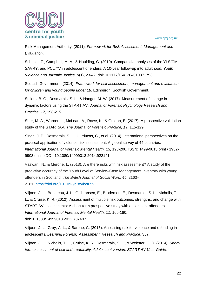

Risk Management Authority. (2011). *Framework for Risk Assessment, Management and Evaluation*.

Schmidt, F., Campbell, M. A., & Houlding, C. (2010). Comparative analyses of the YLS/CMI, SAVRY, and PCL:YV in adolescent offenders: A 10-year follow-up into adulthood. *Youth Violence and Juvenile Justice, 9*(1), 23-42. doi:10.1177/1541204010371793

Scottish Government. (2014). *Framework for risk assessment, management and evaluation for children and young people under 18*. Edinburgh: Scottish Government.

Sellers, B. G., Desmarais, S. L., & Hanger, M. W. (2017). Measurement of change in dynamic factors using the START:AV. *Journal of Forensic Psychology Research and Practice, 17,* 198-215.

Sher, M. A., Warner, L., McLean, A., Rowe, K., & Gralton, E. (2017). A prospective validation study of the START:AV. *The Journal of Forensic Practice, 19,* 115-129.

Singh, J. P., Desmarais, S. L., Hurducas, C., et al. (2014). International perspectives on the practical application of violence risk assessment: A global survey of 44 countries. *International Journal of Forensic Mental Health, 13,* 193-206. ISSN: 1499-9013 print / 1932- 9903 online DOI: 10.1080/14999013.2014.922141

Vaswani, N., & Merone, L. (2013). Are there risks with risk assessment? A study of the predictive accuracy of the Youth Level of Service–Case Management Inventory with young offenders in Scotland. *The British Journal of Social Work*, *44,* 2163– 2181, <https://doi.org/10.1093/bjsw/bct059>

Viljoen, J. L., Beneteau, J. L., Gulbransen, E., Brodersen, E., Desmarais, S. L., Nicholls, T. L., & Cruise, K. R. (2012). Assessment of multiple risk outcomes, strengths, and change with START:AV assessments: A short-term prospective study with adolescent offenders. *International Journal of Forensic Mental Health, 11*, 165-180. doi:10.1080/14999013.2012.737407

Viljoen, J. L., Gray, A. L., & Barone, C. (2015). Assessing risk for violence and offending in adolescents. *Learning Forensic Assessment: Research and Practice*, 357.

Viljoen, J. L., Nicholls, T. L., Cruise, K. R., Desmarais, S. L., & Webster, C. D. (2014). *Shortterm assessment of risk and treatability: Adolescent version. START:AV User Guide*.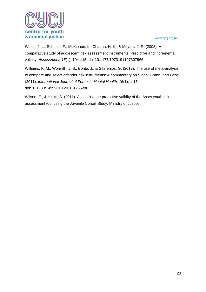

Welsh, J. L., Schmidt, F., McKinnon, L., Chattha, H. K., & Meyers, J. R. (2008). A comparative study of adolescent risk assessment instruments: Predictive and incremental validity. *Assessment, 15*(1), 104-115. doi:10.1177/1073191107307966

Williams, K. M., Wormith, J. S., Bonta, J., & Sitarenios, G. (2017). The use of meta-analysis to compare and select offender risk instruments: A commentary on Singh, Grann, and Fazel (2011). *International Journal of Forensic Mental Health, 16*(1), 1-15. doi:10.1080/14999013.2016.1255280

Wilson, E., & Hinks, S. (2011). Assessing the predictive validity of the Asset youth risk assessment tool using the Juvenile Cohort Study. Ministry of Justice.